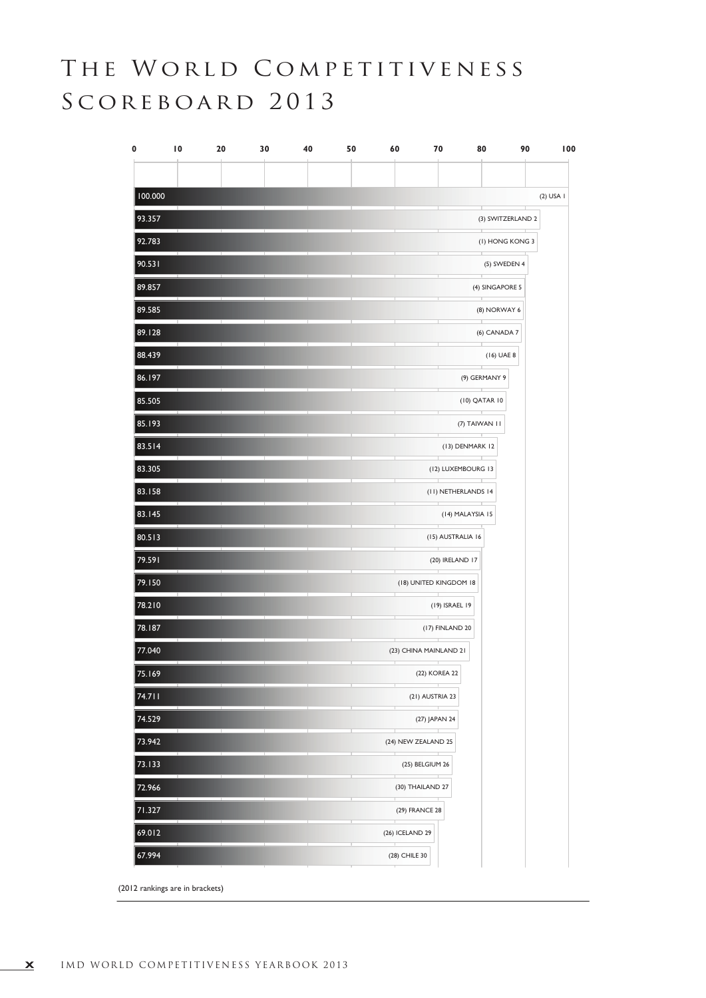## THE WORLD COMPETITIVENESS SCOREBOARD 2013

| 0       | $\overline{10}$ | 20 | 30 | 40 | 50 | 60<br>70                                | 80                                                  | 90                |             | 100 |
|---------|-----------------|----|----|----|----|-----------------------------------------|-----------------------------------------------------|-------------------|-------------|-----|
|         |                 |    |    |    |    |                                         |                                                     |                   |             |     |
| 100.000 |                 |    |    |    |    |                                         |                                                     |                   | $(2)$ USA I |     |
| 93.357  |                 |    |    |    |    |                                         |                                                     | (3) SWITZERLAND 2 |             |     |
| 92.783  |                 |    |    |    |    |                                         |                                                     | (I) HONG KONG 3   |             |     |
| 90.531  |                 |    |    |    |    |                                         | ⊤                                                   | (5) SWEDEN 4      |             |     |
| 89.857  |                 |    |    |    |    |                                         |                                                     | (4) SINGAPORE 5   |             |     |
| 89.585  |                 |    |    |    |    |                                         |                                                     | (8) NORWAY 6      |             |     |
| 89.128  |                 |    |    |    |    |                                         |                                                     | (6) CANADA 7      |             |     |
| 88.439  |                 |    |    |    |    |                                         |                                                     | (16) UAE 8        |             |     |
| 86.197  |                 |    |    |    |    |                                         | (9) GERMANY 9<br>┰                                  |                   |             |     |
| 85.505  |                 |    |    |    |    |                                         | (10) QATAR 10                                       |                   |             |     |
| 85.193  |                 |    |    |    |    |                                         | (7) TAIWAN II                                       |                   |             |     |
| 83.514  |                 |    |    |    |    |                                         | (13) DENMARK 12                                     |                   |             |     |
| 83.305  |                 |    |    |    |    |                                         | (12) LUXEMBOURG 13<br>- 11                          |                   |             |     |
| 83.158  |                 |    |    |    |    |                                         | (II) NETHERLANDS 14<br>The contract of the contract |                   |             |     |
| 83.145  |                 |    |    |    |    |                                         | (14) MALAYSIA 15                                    |                   |             |     |
| 80.513  |                 |    |    |    |    |                                         | (15) AUSTRALIA 16                                   |                   |             |     |
| 79.591  |                 |    |    |    |    |                                         | (20) IRELAND 17                                     |                   |             |     |
| 79.150  |                 |    |    |    |    | (18) UNITED KINGDOM 18<br>T             |                                                     |                   |             |     |
| 78.210  |                 |    |    |    |    | ⊤                                       | (19) ISRAEL 19                                      |                   |             |     |
| 78.187  |                 |    |    |    |    |                                         | (17) FINLAND 20                                     |                   |             |     |
| 77.040  |                 |    |    |    |    | (23) CHINA MAINLAND 21<br>$\mathcal{A}$ |                                                     |                   |             |     |
| 75.169  |                 |    |    |    |    | (22) KOREA 22                           |                                                     |                   |             |     |
| 74.711  |                 |    |    |    |    | (21) AUSTRIA 23                         |                                                     |                   |             |     |
| 74.529  |                 |    |    |    |    | (27) JAPAN 24                           |                                                     |                   |             |     |
| 73.942  |                 |    |    |    |    | (24) NEW ZEALAND 25                     |                                                     |                   |             |     |
| 73.133  |                 |    |    |    |    | (25) BELGIUM 26                         |                                                     |                   |             |     |
| 72.966  |                 |    |    |    |    | (30) THAILAND 27                        |                                                     |                   |             |     |
| 71.327  |                 |    |    |    |    | (29) FRANCE 28<br>т                     |                                                     |                   |             |     |
| 69.012  |                 |    |    |    |    | (26) ICELAND 29                         |                                                     |                   |             |     |
| 67.994  |                 |    |    |    |    | (28) CHILE 30                           |                                                     |                   |             |     |

(2012 rankings are in brackets)